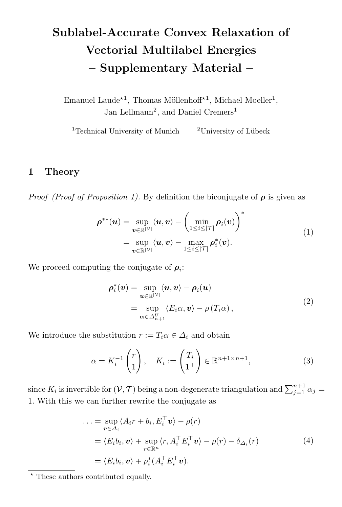# Sublabel-Accurate Convex Relaxation of Vectorial Multilabel Energies – Supplementary Material –

Emanuel Laude<sup>\*1</sup>, Thomas Möllenhoff<sup>\*1</sup>, Michael Moeller<sup>1</sup>, Jan Lellmann<sup>2</sup>, and Daniel Cremers<sup>1</sup>

<sup>1</sup>Technical University of Munich <sup>2</sup>University of Lübeck

## 1 Theory

*Proof (Proof of Proposition 1).* By definition the biconjugate of  $\rho$  is given as

$$
\rho^{**}(\boldsymbol{u}) = \sup_{\boldsymbol{v} \in \mathbb{R}^{|\mathcal{V}|}} \langle \boldsymbol{u}, \boldsymbol{v} \rangle - \left(\min_{1 \leq i \leq |\mathcal{T}|} \rho_i(\boldsymbol{v})\right)^*
$$
\n
$$
= \sup_{\boldsymbol{v} \in \mathbb{R}^{|\mathcal{V}|}} \langle \boldsymbol{u}, \boldsymbol{v} \rangle - \max_{1 \leq i \leq |\mathcal{T}|} \rho_i^*(\boldsymbol{v}). \tag{1}
$$

We proceed computing the conjugate of  $\rho_i$ :

$$
\rho_i^*(v) = \sup_{\mathbf{u} \in \mathbb{R}^{|\mathcal{V}|}} \langle \mathbf{u}, v \rangle - \rho_i(\mathbf{u})
$$
  
= 
$$
\sup_{\alpha \in \Delta_{n+1}^V} \langle E_i \alpha, v \rangle - \rho(T_i \alpha),
$$
 (2)

We introduce the substitution  $r := T_i \alpha \in \Delta_i$  and obtain

$$
\alpha = K_i^{-1} \begin{pmatrix} r \\ 1 \end{pmatrix}, \quad K_i := \begin{pmatrix} T_i \\ \mathbf{1}^\top \end{pmatrix} \in \mathbb{R}^{n+1 \times n+1}, \tag{3}
$$

since  $K_i$  is invertible for  $(\mathcal{V}, \mathcal{T})$  being a non-degenerate triangulation and  $\sum_{j=1}^{n+1} \alpha_j =$ 1. With this we can further rewrite the conjugate as

$$
\begin{aligned}\n\ldots &= \sup_{\mathbf{r} \in \Delta_i} \langle A_i r + b_i, E_i^{\top} \mathbf{v} \rangle - \rho(r) \\
&= \langle E_i b_i, \mathbf{v} \rangle + \sup_{r \in \mathbb{R}^n} \langle r, A_i^{\top} E_i^{\top} \mathbf{v} \rangle - \rho(r) - \delta_{\Delta_i}(r) \\
&= \langle E_i b_i, \mathbf{v} \rangle + \rho_i^* (A_i^{\top} E_i^{\top} \mathbf{v}).\n\end{aligned} \tag{4}
$$

 $^\star$  These authors contributed equally.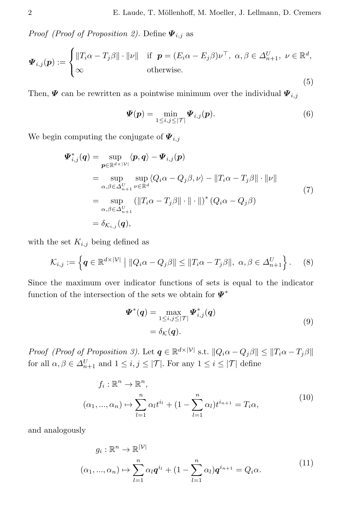*Proof (Proof of Proposition 2)*. Define  $\Psi_{i,j}$  as

$$
\boldsymbol{\varPsi}_{i,j}(\boldsymbol{p}) := \begin{cases} \|\boldsymbol{T}_i \boldsymbol{\alpha} - \boldsymbol{T}_j \boldsymbol{\beta}\| \cdot \|\nu\| & \text{if } \boldsymbol{p} = (E_i \boldsymbol{\alpha} - E_j \boldsymbol{\beta}) \nu^{\top}, \ \boldsymbol{\alpha}, \boldsymbol{\beta} \in \Delta_{n+1}^U, \ \nu \in \mathbb{R}^d, \\ \infty & \text{otherwise.} \end{cases} \tag{5}
$$

Then,  $\Psi$  can be rewritten as a pointwise minimum over the individual  $\Psi_{i,j}$ 

$$
\boldsymbol{\varPsi}(\boldsymbol{p}) = \min_{1 \leq i,j \leq |\mathcal{T}|} \boldsymbol{\varPsi}_{i,j}(\boldsymbol{p}). \tag{6}
$$

We begin computing the conjugate of  $\mathbf{\Psi}_{i,j}$ 

$$
\Psi_{i,j}^*(q) = \sup_{p \in \mathbb{R}^{d \times |\mathcal{V}|}} \langle p, q \rangle - \Psi_{i,j}(p)
$$
  
\n
$$
= \sup_{\alpha, \beta \in \Delta_{n+1}^U} \sup_{\nu \in \mathbb{R}^d} \langle Q_i \alpha - Q_j \beta, \nu \rangle - ||T_i \alpha - T_j \beta|| \cdot ||\nu||
$$
  
\n
$$
= \sup_{\alpha, \beta \in \Delta_{n+1}^U} (||T_i \alpha - T_j \beta|| \cdot || \cdot ||)^* (Q_i \alpha - Q_j \beta)
$$
  
\n
$$
= \delta_{\mathcal{K}_{i,j}}(q), \tag{7}
$$

with the set  $K_{i,j}$  being defined as

$$
\mathcal{K}_{i,j} := \left\{ \boldsymbol{q} \in \mathbb{R}^{d \times |\mathcal{V}|} \mid \|\boldsymbol{Q}_i \boldsymbol{\alpha} - \boldsymbol{Q}_j \boldsymbol{\beta}\| \le \|\boldsymbol{T}_i \boldsymbol{\alpha} - \boldsymbol{T}_j \boldsymbol{\beta}\|, \ \boldsymbol{\alpha}, \boldsymbol{\beta} \in \Delta_{n+1}^U \right\}.
$$
 (8)

Since the maximum over indicator functions of sets is equal to the indicator function of the intersection of the sets we obtain for  $\boldsymbol{\varPsi}^*$ 

$$
\Psi^*(q) = \max_{1 \le i,j \le |\mathcal{T}|} \Psi^*_{i,j}(q)
$$
  
=  $\delta_{\mathcal{K}}(q).$  (9)

Proof (Proof of Proposition 3). Let  $q \in \mathbb{R}^{d \times |\mathcal{V}|}$  s.t.  $||Q_i \alpha - Q_j \beta|| \le ||T_i \alpha - T_j \beta||$ for all  $\alpha, \beta \in \Delta_{n+1}^U$  and  $1 \le i, j \le |\mathcal{T}|$ . For any  $1 \le i \le |\mathcal{T}|$  define

$$
f_i: \mathbb{R}^n \to \mathbb{R}^n,
$$
  
\n
$$
(\alpha_1, ..., \alpha_n) \mapsto \sum_{l=1}^n \alpha_l t^{i_l} + (1 - \sum_{l=1}^n \alpha_l) t^{i_{n+1}} = T_i \alpha,
$$
\n
$$
(10)
$$

and analogously

$$
g_i: \mathbb{R}^n \to \mathbb{R}^{|\mathcal{V}|}
$$
  
\n
$$
(\alpha_1, ..., \alpha_n) \mapsto \sum_{l=1}^n \alpha_l \mathbf{q}^{i_l} + (1 - \sum_{l=1}^n \alpha_l) \mathbf{q}^{i_{n+1}} = Q_i \alpha.
$$
\n
$$
(11)
$$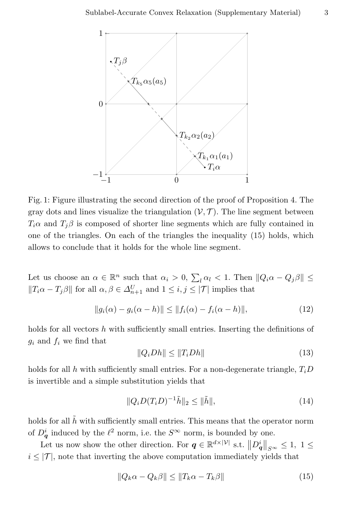

Fig. 1: Figure illustrating the second direction of the proof of Proposition 4. The gray dots and lines visualize the triangulation  $(V, \mathcal{T})$ . The line segment between  $T_i\alpha$  and  $T_j\beta$  is composed of shorter line segments which are fully contained in one of the triangles. On each of the triangles the inequality (15) holds, which allows to conclude that it holds for the whole line segment.

Let us choose an  $\alpha \in \mathbb{R}^n$  such that  $\alpha_i > 0$ ,  $\sum_l \alpha_l < 1$ . Then  $||Q_i \alpha - Q_j \beta|| \le$  $||T_i\alpha - T_j\beta||$  for all  $\alpha, \beta \in \Delta_{n+1}^U$  and  $1 \le i, j \le |\mathcal{T}|$  implies that

$$
||g_i(\alpha) - g_i(\alpha - h)|| \le ||f_i(\alpha) - f_i(\alpha - h)||,
$$
\n(12)

holds for all vectors  $h$  with sufficiently small entries. Inserting the definitions of  $g_i$  and  $f_i$  we find that

$$
||Q_i Dh|| \le ||T_i Dh|| \tag{13}
$$

holds for all h with sufficiently small entries. For a non-degenerate triangle,  $T_iD$ is invertible and a simple substitution yields that

$$
||Q_i D(T_i D)^{-1} \tilde{h}||_2 \le ||\tilde{h}||,\t(14)
$$

holds for all  $\tilde{h}$  with sufficiently small entries. This means that the operator norm of  $D_q^i$  induced by the  $\ell^2$  norm, i.e. the  $S^{\infty}$  norm, is bounded by one.

Let us now show the other direction. For  $q \in \mathbb{R}^{d \times |\mathcal{V}|}$  s.t.  $||D_q^i||_{S^{\infty}} \leq 1, 1 \leq$  $i \leq |\mathcal{T}|$ , note that inverting the above computation immediately yields that

$$
||Q_k \alpha - Q_k \beta|| \le ||T_k \alpha - T_k \beta|| \tag{15}
$$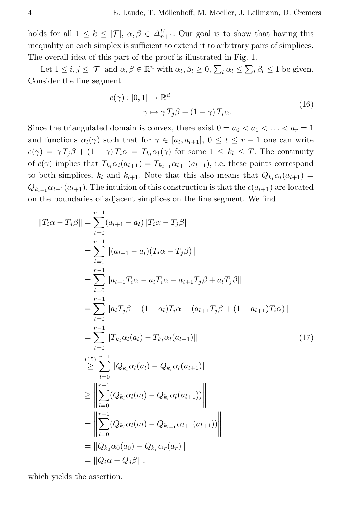holds for all  $1 \leq k \leq |\mathcal{T}|$ ,  $\alpha, \beta \in \Delta_{n+1}^U$ . Our goal is to show that having this inequality on each simplex is sufficient to extend it to arbitrary pairs of simplices. The overall idea of this part of the proof is illustrated in Fig. 1.

Let  $1 \le i, j \le |\mathcal{T}|$  and  $\alpha, \beta \in \mathbb{R}^n$  with  $\alpha_l, \beta_l \ge 0, \sum_l \alpha_l \le \sum_l \beta_l \le 1$  be given. Consider the line segment

$$
c(\gamma) : [0, 1] \to \mathbb{R}^d
$$
  

$$
\gamma \mapsto \gamma T_j \beta + (1 - \gamma) T_i \alpha.
$$
 (16)

Since the triangulated domain is convex, there exist  $0 = a_0 < a_1 < \ldots < a_r = 1$ and functions  $\alpha_l(\gamma)$  such that for  $\gamma \in [a_l, a_{l+1}], 0 \leq l \leq r-1$  one can write  $c(\gamma) = \gamma T_i \beta + (1 - \gamma) T_i \alpha = T_{ki} \alpha_l(\gamma)$  for some  $1 \leq k_l \leq T$ . The continuity of  $c(\gamma)$  implies that  $T_{k_1} \alpha_l(a_{l+1}) = T_{k_{l+1}} \alpha_{l+1}(a_{l+1}),$  i.e. these points correspond to both simplices,  $k_l$  and  $k_{l+1}$ . Note that this also means that  $Q_{k_l} \alpha_l(a_{l+1}) =$  $Q_{k_{l+1}}\alpha_{l+1}(a_{l+1})$ . The intuition of this construction is that the  $c(a_{l+1})$  are located on the boundaries of adjacent simplices on the line segment. We find

$$
||T_i\alpha - T_j\beta|| = \sum_{l=0}^{r-1} (a_{l+1} - a_l) ||T_i\alpha - T_j\beta||
$$
  
\n
$$
= \sum_{l=0}^{r-1} ||(a_{l+1} - a_l)(T_i\alpha - T_j\beta)||
$$
  
\n
$$
= \sum_{l=0}^{r-1} ||a_{l+1}T_i\alpha - a_lT_i\alpha - a_{l+1}T_j\beta + a_lT_j\beta||
$$
  
\n
$$
= \sum_{l=0}^{r-1} ||a_lT_j\beta + (1 - a_l)T_i\alpha - (a_{l+1}T_j\beta + (1 - a_{l+1})T_i\alpha)||
$$
  
\n
$$
= \sum_{l=0}^{r-1} ||T_{k_l}\alpha_l(a_l) - T_{k_l}\alpha_l(a_{l+1})||
$$
  
\n
$$
\geq \sum_{l=0}^{r-1} ||Q_{k_l}\alpha_l(a_l) - Q_{k_l}\alpha_l(a_{l+1})||
$$
  
\n
$$
\geq \left\| \sum_{l=0}^{r-1} (Q_{k_l}\alpha_l(a_l) - Q_{k_l}\alpha_l(a_{l+1})) \right\|
$$
  
\n
$$
= \left\| \sum_{l=0}^{r-1} (Q_{k_l}\alpha_l(a_l) - Q_{k_l}\alpha_l(a_{l+1})) \right\|
$$
  
\n
$$
= \left\| Q_{k_0}\alpha_0(a_0) - Q_{k_r}\alpha_r(a_r) \right\|
$$
  
\n
$$
= ||Q_{k_0}\alpha_0(a_0) - Q_{k_r}\alpha_r(a_r)||
$$

which yields the assertion.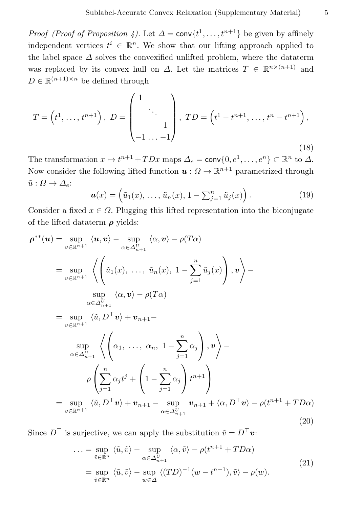*Proof (Proof of Proposition 4)*. Let  $\Delta = \text{conv}\{t^1, \ldots, t^{n+1}\}$  be given by affinely independent vertices  $t^i \in \mathbb{R}^n$ . We show that our lifting approach applied to the label space  $\Delta$  solves the convexified unlifted problem, where the dataterm was replaced by its convex hull on  $\Delta$ . Let the matrices  $T \in \mathbb{R}^{n \times (n+1)}$  and  $D \in \mathbb{R}^{(n+1)\times n}$  be defined through

$$
T = (t^1, \dots, t^{n+1}), \ D = \begin{pmatrix} 1 & & \\ & \ddots & \\ & & 1 \\ -1 & \dots & -1 \end{pmatrix}, \ TD = (t^1 - t^{n+1}, \dots, t^n - t^{n+1}),
$$
\n(18)

The transformation  $x \mapsto t^{n+1} + TDx$  maps  $\Delta_e = \text{conv}\{0, e^1, \dots, e^n\} \subset \mathbb{R}^n$  to  $\Delta$ . Now consider the following lifted function  $u: \Omega \to \mathbb{R}^{n+1}$  parametrized through  $\tilde{u}: \Omega \to \Delta_e$ :

$$
\boldsymbol{u}(x) = \left(\tilde{u}_1(x), \dots, \tilde{u}_n(x), 1 - \sum_{j=1}^n \tilde{u}_j(x)\right). \tag{19}
$$

Consider a fixed  $x \in \Omega$ . Plugging this lifted representation into the biconjugate of the lifted dataterm  $\rho$  yields:

$$
\rho^{**}(\mathbf{u}) = \sup_{v \in \mathbb{R}^{n+1}} \langle \mathbf{u}, \mathbf{v} \rangle - \sup_{\alpha \in \Delta_{n+1}^U} \langle \alpha, \mathbf{v} \rangle - \rho(T\alpha)
$$
  
\n
$$
= \sup_{v \in \mathbb{R}^{n+1}} \left\langle \left( \tilde{u}_1(x), \dots, \tilde{u}_n(x), 1 - \sum_{j=1}^n \tilde{u}_j(x) \right), \mathbf{v} \right\rangle -
$$
  
\n
$$
\sup_{\alpha \in \Delta_{n+1}^U} \langle \alpha, \mathbf{v} \rangle - \rho(T\alpha)
$$
  
\n
$$
= \sup_{v \in \mathbb{R}^{n+1}} \langle \tilde{u}, D^\top \mathbf{v} \rangle + \mathbf{v}_{n+1} -
$$
  
\n
$$
\sup_{\alpha \in \Delta_{n+1}^U} \left\langle \left( \alpha_1, \dots, \alpha_n, 1 - \sum_{j=1}^n \alpha_j \right), \mathbf{v} \right\rangle -
$$
  
\n
$$
\rho \left( \sum_{j=1}^n \alpha_j t^j + \left( 1 - \sum_{j=1}^n \alpha_j \right) t^{n+1} \right)
$$
  
\n
$$
= \sup_{v \in \mathbb{R}^{n+1}} \langle \tilde{u}, D^\top \mathbf{v} \rangle + \mathbf{v}_{n+1} - \sup_{\alpha \in \Delta_{n+1}^U} \mathbf{v}_{n+1} + \langle \alpha, D^\top \mathbf{v} \rangle - \rho(t^{n+1} + TD\alpha)
$$
  
\n(20)

Since  $D^{\top}$  is surjective, we can apply the substitution  $\tilde{v} = D^{\top}v$ :

$$
\dots = \sup_{\tilde{v} \in \mathbb{R}^n} \langle \tilde{u}, \tilde{v} \rangle - \sup_{\alpha \in \Delta_{n+1}^U} \langle \alpha, \tilde{v} \rangle - \rho(t^{n+1} + TD\alpha)
$$
  
= 
$$
\sup_{\tilde{v} \in \mathbb{R}^n} \langle \tilde{u}, \tilde{v} \rangle - \sup_{w \in \Delta} \langle (TD)^{-1}(w - t^{n+1}), \tilde{v} \rangle - \rho(w).
$$
 (21)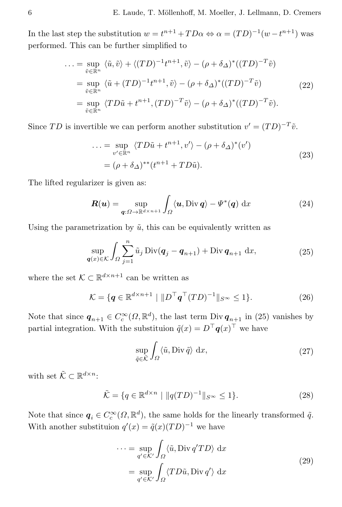In the last step the substitution  $w = t^{n+1} + TD\alpha \Leftrightarrow \alpha = (TD)^{-1}(w - t^{n+1})$  was performed. This can be further simplified to

$$
\begin{split} \dots &= \sup_{\tilde{v} \in \mathbb{R}^n} \langle \tilde{u}, \tilde{v} \rangle + \langle (TD)^{-1} t^{n+1}, \tilde{v} \rangle - (\rho + \delta_\Delta)^* ((TD)^{-T} \tilde{v}) \\ &= \sup_{\tilde{v} \in \mathbb{R}^n} \langle \tilde{u} + (TD)^{-1} t^{n+1}, \tilde{v} \rangle - (\rho + \delta_\Delta)^* ((TD)^{-T} \tilde{v}) \\ &= \sup_{\tilde{v} \in \mathbb{R}^n} \langle TD\tilde{u} + t^{n+1}, (TD)^{-T} \tilde{v} \rangle - (\rho + \delta_\Delta)^* ((TD)^{-T} \tilde{v}). \end{split} \tag{22}
$$

Since TD is invertible we can perform another substitution  $v' = (TD)^{-T} \tilde{v}$ .

$$
\dots = \sup_{v' \in \mathbb{R}^n} \langle TD\tilde{u} + t^{n+1}, v' \rangle - (\rho + \delta_{\Delta})^*(v')
$$
  
=  $(\rho + \delta_{\Delta})^{**}(t^{n+1} + TD\tilde{u}).$  (23)

The lifted regularizer is given as:

$$
\boldsymbol{R}(\boldsymbol{u}) = \sup_{\boldsymbol{q}: \Omega \to \mathbb{R}^{d \times n+1}} \int_{\Omega} \langle \boldsymbol{u}, \text{Div}\,\boldsymbol{q} \rangle - \varPsi^*(\boldsymbol{q}) \, \mathrm{d}x \tag{24}
$$

Using the parametrization by  $\tilde{u}$ , this can be equivalently written as

$$
\sup_{\mathbf{q}(x)\in\mathcal{K}} \int_{\Omega} \sum_{j=1}^{n} \tilde{u}_j \operatorname{Div}(\mathbf{q}_j - \mathbf{q}_{n+1}) + \operatorname{Div} \mathbf{q}_{n+1} \, \mathrm{d}x,\tag{25}
$$

where the set  $\mathcal{K} \subset \mathbb{R}^{d \times n+1}$  can be written as

$$
\mathcal{K} = \{ \mathbf{q} \in \mathbb{R}^{d \times n+1} \mid \Vert D^\top \mathbf{q}^\top (TD)^{-1} \Vert_{S^\infty} \le 1 \}. \tag{26}
$$

Note that since  $q_{n+1} \in C_c^{\infty}(\Omega, \mathbb{R}^d)$ , the last term Div  $q_{n+1}$  in (25) vanishes by partial integration. With the substituion  $\tilde{q}(x) = D^{\top} q(x)^{\top}$  we have

$$
\sup_{\tilde{q}\in\tilde{\mathcal{K}}} \int_{\Omega} \langle \tilde{u}, \text{Div }\tilde{q} \rangle \, \, \mathrm{d}x,\tag{27}
$$

with set  $\tilde{\mathcal{K}} \subset \mathbb{R}^{d \times n}$ :

$$
\tilde{\mathcal{K}} = \{ q \in \mathbb{R}^{d \times n} \mid \| q(TD)^{-1} \|_{S^{\infty}} \le 1 \}. \tag{28}
$$

Note that since  $q_i \in C_c^{\infty}(\Omega, \mathbb{R}^d)$ , the same holds for the linearly transformed  $\tilde{q}$ . With another substituion  $q'(x) = \tilde{q}(x)(TD)^{-1}$  we have

$$
\cdots = \sup_{q' \in K'} \int_{\Omega} \langle \tilde{u}, \text{Div } q' T D \rangle \, dx
$$
  
= 
$$
\sup_{q' \in K'} \int_{\Omega} \langle T D\tilde{u}, \text{Div } q' \rangle \, dx
$$
 (29)